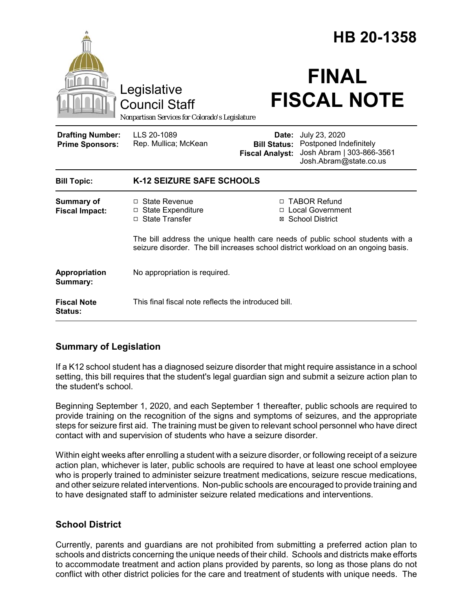|                                                   | Legislative<br><b>Council Staff</b><br>Nonpartisan Services for Colorado's Legislature                                                                               |                                                                | HB 20-1358<br><b>FINAL</b><br><b>FISCAL NOTE</b>                                               |
|---------------------------------------------------|----------------------------------------------------------------------------------------------------------------------------------------------------------------------|----------------------------------------------------------------|------------------------------------------------------------------------------------------------|
| <b>Drafting Number:</b><br><b>Prime Sponsors:</b> | LLS 20-1089<br>Rep. Mullica; McKean                                                                                                                                  | Date:<br><b>Bill Status:</b><br><b>Fiscal Analyst:</b>         | July 23, 2020<br>Postponed Indefinitely<br>Josh Abram   303-866-3561<br>Josh.Abram@state.co.us |
| <b>Bill Topic:</b>                                | K-12 SEIZURE SAFE SCHOOLS                                                                                                                                            |                                                                |                                                                                                |
| Summary of<br><b>Fiscal Impact:</b>               | $\Box$ State Revenue<br>$\Box$ State Expenditure<br>□ State Transfer                                                                                                 | □ TABOR Refund<br><b>Local Government</b><br>⊠ School District |                                                                                                |
|                                                   | The bill address the unique health care needs of public school students with a<br>seizure disorder. The bill increases school district workload on an ongoing basis. |                                                                |                                                                                                |
| Appropriation<br>Summary:                         | No appropriation is required.                                                                                                                                        |                                                                |                                                                                                |
| <b>Fiscal Note</b><br>Status:                     | This final fiscal note reflects the introduced bill.                                                                                                                 |                                                                |                                                                                                |

## **Summary of Legislation**

If a K12 school student has a diagnosed seizure disorder that might require assistance in a school setting, this bill requires that the student's legal guardian sign and submit a seizure action plan to the student's school.

Beginning September 1, 2020, and each September 1 thereafter, public schools are required to provide training on the recognition of the signs and symptoms of seizures, and the appropriate steps for seizure first aid. The training must be given to relevant school personnel who have direct contact with and supervision of students who have a seizure disorder.

Within eight weeks after enrolling a student with a seizure disorder, or following receipt of a seizure action plan, whichever is later, public schools are required to have at least one school employee who is properly trained to administer seizure treatment medications, seizure rescue medications, and other seizure related interventions. Non-public schools are encouraged to provide training and to have designated staff to administer seizure related medications and interventions.

## **School District**

Currently, parents and guardians are not prohibited from submitting a preferred action plan to schools and districts concerning the unique needs of their child. Schools and districts make efforts to accommodate treatment and action plans provided by parents, so long as those plans do not conflict with other district policies for the care and treatment of students with unique needs. The